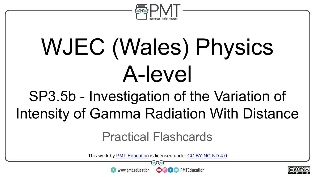

# WJEC (Wales) Physics A-level

#### SP3.5b - Investigation of the Variation of Intensity of Gamma Radiation With Distance

#### Practical Flashcards

This work by <u>PMT Education</u> is licensed under CC BY-NC-ND 4.0<br>
www.pmt.education **in the CO CO** PMTEducation

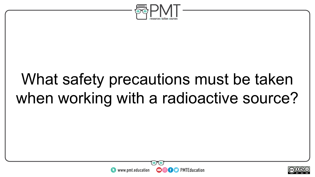

### What safety precautions must be taken when working with a radioactive source?



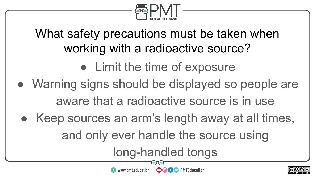

#### What safety precautions must be taken when working with a radioactive source?

- Limit the time of exposure
- Warning signs should be displayed so people are aware that a radioactive source is in use
	- Keep sources an arm's length away at all times, and only ever handle the source using

 $\bullet$  www.pmt.education

long-handled tongs

**OOOO D** PMTEducation

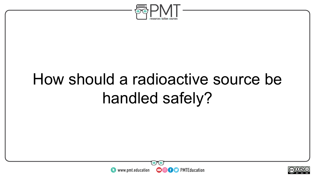

### How should a radioactive source be handled safely?



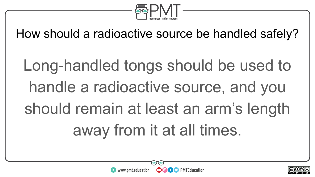

How should a radioactive source be handled safely?

Long-handled tongs should be used to handle a radioactive source, and you should remain at least an arm's length away from it at all times.



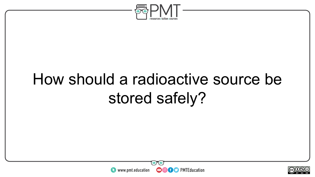

### How should a radioactive source be stored safely?



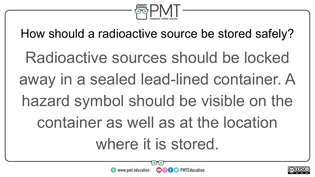

How should a radioactive source be stored safely?

Radioactive sources should be locked away in a sealed lead-lined container. A hazard symbol should be visible on the container as well as at the location where it is stored.



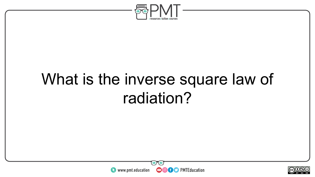

#### What is the inverse square law of radiation?



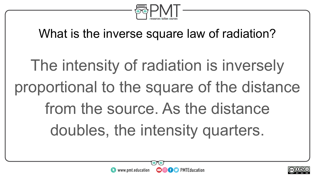

#### What is the inverse square law of radiation?

## The intensity of radiation is inversely proportional to the square of the distance from the source. As the distance doubles, the intensity quarters.



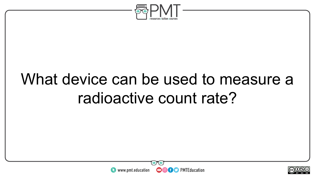

#### What device can be used to measure a radioactive count rate?



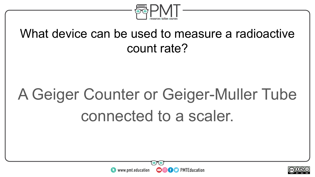

#### What device can be used to measure a radioactive count rate?

## A Geiger Counter or Geiger-Muller Tube connected to a scaler.



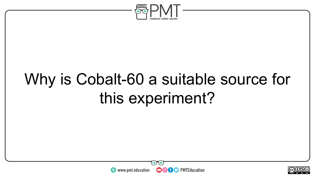

### Why is Cobalt-60 a suitable source for this experiment?



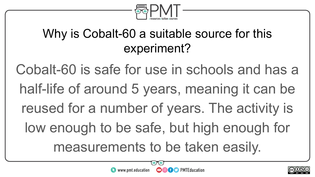

#### Why is Cobalt-60 a suitable source for this experiment?

Cobalt-60 is safe for use in schools and has a half-life of around 5 years, meaning it can be reused for a number of years. The activity is low enough to be safe, but high enough for measurements to be taken easily.

**OOOO** PMTEducation



 $\sim$ neel BY NC ND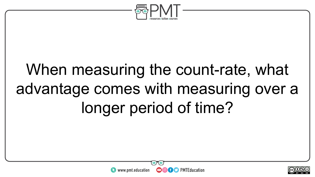

### When measuring the count-rate, what advantage comes with measuring over a longer period of time?



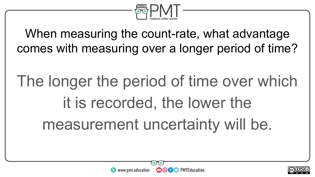

When measuring the count-rate, what advantage comes with measuring over a longer period of time?

## The longer the period of time over which it is recorded, the lower the measurement uncertainty will be.



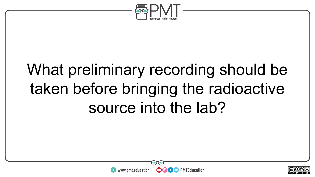

### What preliminary recording should be taken before bringing the radioactive source into the lab?



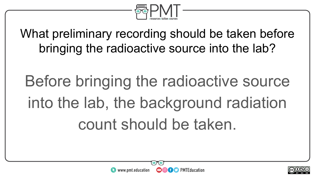

What preliminary recording should be taken before bringing the radioactive source into the lab?

## Before bringing the radioactive source into the lab, the background radiation count should be taken.



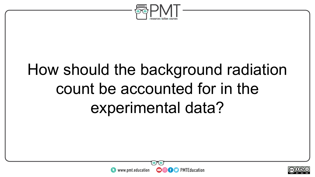

### How should the background radiation count be accounted for in the experimental data?



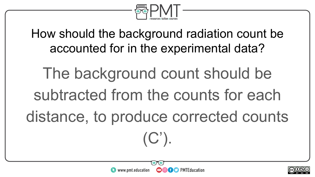

How should the background radiation count be accounted for in the experimental data?

The background count should be subtracted from the counts for each distance, to produce corrected counts  $(C')$ .

**OOOO** PMTEducation

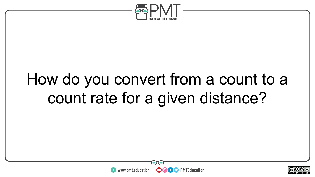

#### How do you convert from a count to a count rate for a given distance?



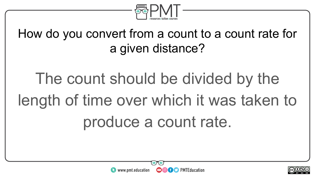

How do you convert from a count to a count rate for a given distance?

The count should be divided by the length of time over which it was taken to produce a count rate.



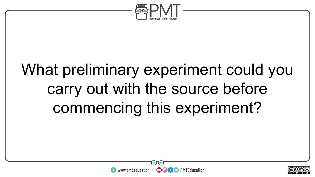

### What preliminary experiment could you carry out with the source before commencing this experiment?



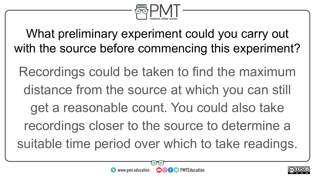

What preliminary experiment could you carry out with the source before commencing this experiment?

Recordings could be taken to find the maximum distance from the source at which you can still get a reasonable count. You could also take recordings closer to the source to determine a suitable time period over which to take readings.

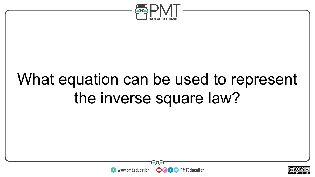

### What equation can be used to represent the inverse square law?



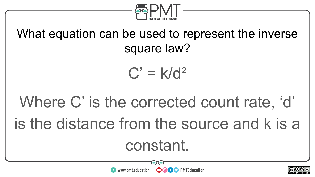

#### What equation can be used to represent the inverse square law?

$$
C' = k/d^2
$$

## Where C' is the corrected count rate, 'd' is the distance from the source and k is a constant.



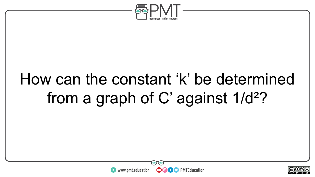

#### How can the constant 'k' be determined from a graph of C' against 1/d²?



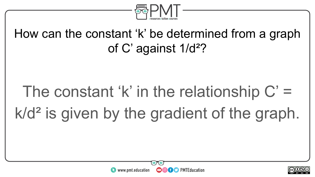

#### How can the constant 'k' be determined from a graph of C' against 1/d²?

## The constant 'k' in the relationship  $C' =$ k/d<sup>2</sup> is given by the gradient of the graph.



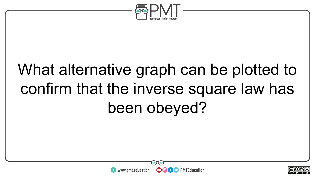

### What alternative graph can be plotted to confirm that the inverse square law has been obeyed?



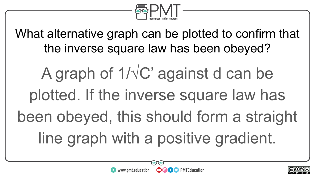

What alternative graph can be plotted to confirm that the inverse square law has been obeyed?

A graph of  $1/\sqrt{C}$  against d can be plotted. If the inverse square law has been obeyed, this should form a straight line graph with a positive gradient.

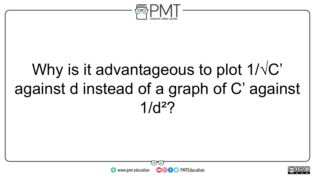

#### Why is it advantageous to plot  $1/\sqrt{C}$ against d instead of a graph of C' against  $1/d<sup>2</sup>$



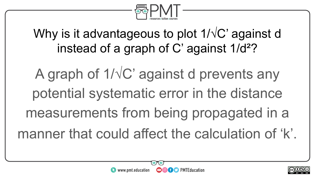

#### Why is it advantageous to plot 1/√C' against d instead of a graph of C' against 1/d²?

A graph of  $1/\sqrt{C}$  against d prevents any potential systematic error in the distance measurements from being propagated in a manner that could affect the calculation of 'k'.



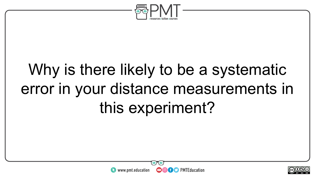

### Why is there likely to be a systematic error in your distance measurements in this experiment?



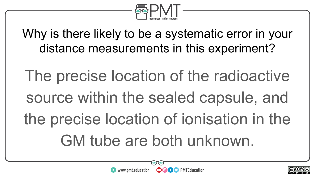

Why is there likely to be a systematic error in your distance measurements in this experiment?

The precise location of the radioactive source within the sealed capsule, and the precise location of ionisation in the GM tube are both unknown.



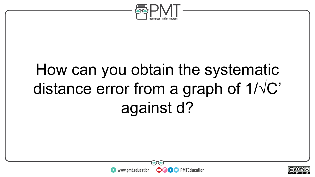

### How can you obtain the systematic distance error from a graph of 1/√C' against d?



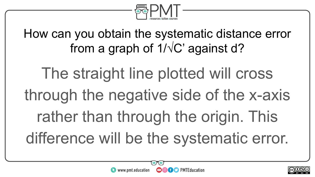

How can you obtain the systematic distance error from a graph of  $1/\sqrt{C}$  against d?

The straight line plotted will cross through the negative side of the x-axis rather than through the origin. This difference will be the systematic error.

**OOOO** PMTEducation

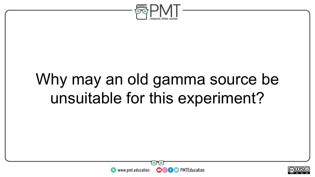

#### Why may an old gamma source be unsuitable for this experiment?